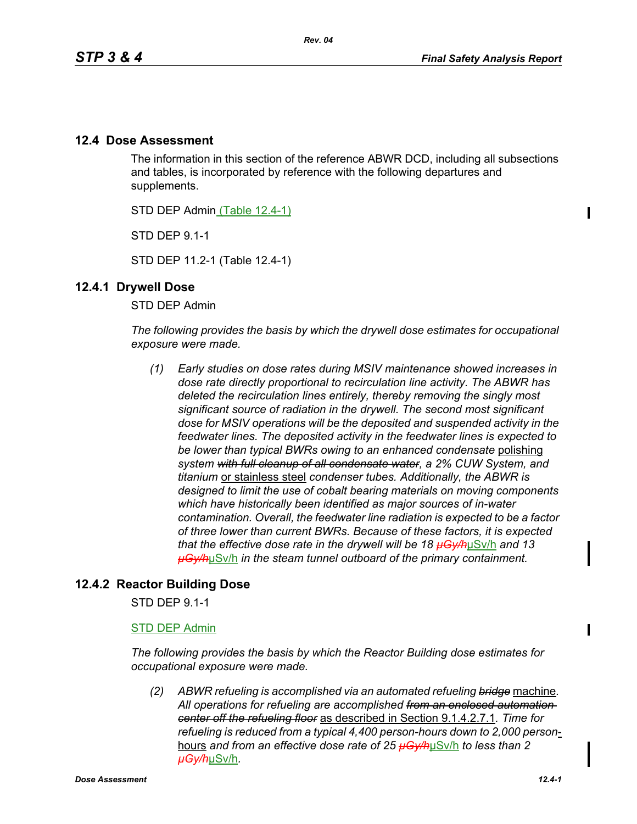## **12.4 Dose Assessment**

The information in this section of the reference ABWR DCD, including all subsections and tables, is incorporated by reference with the following departures and supplements.

STD DEP Admin (Table 12.4-1)

STD DEP 9.1-1

STD DEP 11.2-1 (Table 12.4-1)

## **12.4.1 Drywell Dose**

STD DEP Admin

*The following provides the basis by which the drywell dose estimates for occupational exposure were made.*

*(1) Early studies on dose rates during MSIV maintenance showed increases in dose rate directly proportional to recirculation line activity. The ABWR has deleted the recirculation lines entirely, thereby removing the singly most significant source of radiation in the drywell. The second most significant dose for MSIV operations will be the deposited and suspended activity in the feedwater lines. The deposited activity in the feedwater lines is expected to be lower than typical BWRs owing to an enhanced condensate* polishing *system with full cleanup of all condensate water, a 2% CUW System, and titanium* or stainless steel *condenser tubes. Additionally, the ABWR is designed to limit the use of cobalt bearing materials on moving components which have historically been identified as major sources of in-water contamination. Overall, the feedwater line radiation is expected to be a factor of three lower than current BWRs. Because of these factors, it is expected that the effective dose rate in the drywell will be 18 µGy/h*µSv/h *and 13 µGy/h*µSv/h *in the steam tunnel outboard of the primary containment.* 

## **12.4.2 Reactor Building Dose**

STD DEP 9.1-1

### STD DEP Admin

*The following provides the basis by which the Reactor Building dose estimates for occupational exposure were made.*

*(2) ABWR refueling is accomplished via an automated refueling bridge* machine*. All operations for refueling are accomplished from an enclosed automation center off the refueling floor* as described in Section 9.1.4.2.7.1*. Time for refueling is reduced from a typical 4,400 person-hours down to 2,000 person*hours *and from an effective dose rate of 25 µGy/h*µSv/h *to less than 2 µGy/h*µSv/h*.*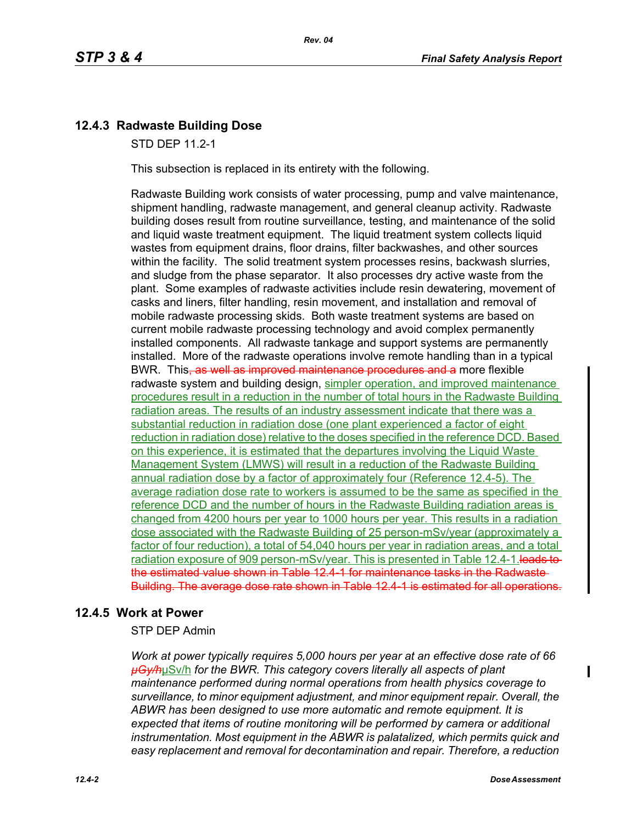# **12.4.3 Radwaste Building Dose**

STD DEP 11.2-1

This subsection is replaced in its entirety with the following.

Radwaste Building work consists of water processing, pump and valve maintenance, shipment handling, radwaste management, and general cleanup activity. Radwaste building doses result from routine surveillance, testing, and maintenance of the solid and liquid waste treatment equipment. The liquid treatment system collects liquid wastes from equipment drains, floor drains, filter backwashes, and other sources within the facility. The solid treatment system processes resins, backwash slurries, and sludge from the phase separator. It also processes dry active waste from the plant. Some examples of radwaste activities include resin dewatering, movement of casks and liners, filter handling, resin movement, and installation and removal of mobile radwaste processing skids. Both waste treatment systems are based on current mobile radwaste processing technology and avoid complex permanently installed components. All radwaste tankage and support systems are permanently installed. More of the radwaste operations involve remote handling than in a typical BWR. This, as well as improved maintenance procedures and a more flexible radwaste system and building design, simpler operation, and improved maintenance procedures result in a reduction in the number of total hours in the Radwaste Building radiation areas. The results of an industry assessment indicate that there was a substantial reduction in radiation dose (one plant experienced a factor of eight reduction in radiation dose) relative to the doses specified in the reference DCD. Based on this experience, it is estimated that the departures involving the Liquid Waste Management System (LMWS) will result in a reduction of the Radwaste Building annual radiation dose by a factor of approximately four (Reference 12.4-5). The average radiation dose rate to workers is assumed to be the same as specified in the reference DCD and the number of hours in the Radwaste Building radiation areas is changed from 4200 hours per year to 1000 hours per year. This results in a radiation dose associated with the Radwaste Building of 25 person-mSv/year (approximately a factor of four reduction), a total of 54,040 hours per year in radiation areas, and a total radiation exposure of 909 person-mSv/year. This is presented in Table 12.4-1. leads to the estimated value shown in Table 12.4-1 for maintenance tasks in the Radwaste Building. The average dose rate shown in Table 12.4-1 is estimated for all operations.

## **12.4.5 Work at Power**

STP DEP Admin

*Work at power typically requires 5,000 hours per year at an effective dose rate of 66 µGy/h*µSv/h *for the BWR. This category covers literally all aspects of plant maintenance performed during normal operations from health physics coverage to surveillance, to minor equipment adjustment, and minor equipment repair. Overall, the ABWR has been designed to use more automatic and remote equipment. It is expected that items of routine monitoring will be performed by camera or additional instrumentation. Most equipment in the ABWR is palatalized, which permits quick and easy replacement and removal for decontamination and repair. Therefore, a reduction*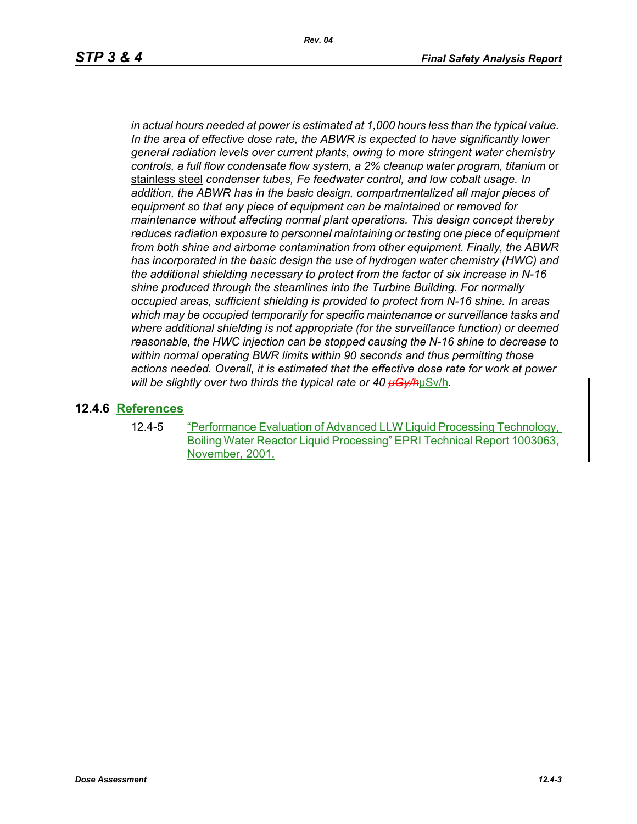*in actual hours needed at power is estimated at 1,000 hours less than the typical value. In the area of effective dose rate, the ABWR is expected to have significantly lower general radiation levels over current plants, owing to more stringent water chemistry controls, a full flow condensate flow system, a 2% cleanup water program, titanium or* stainless steel *condenser tubes, Fe feedwater control, and low cobalt usage. In addition, the ABWR has in the basic design, compartmentalized all major pieces of equipment so that any piece of equipment can be maintained or removed for maintenance without affecting normal plant operations. This design concept thereby reduces radiation exposure to personnel maintaining or testing one piece of equipment from both shine and airborne contamination from other equipment. Finally, the ABWR has incorporated in the basic design the use of hydrogen water chemistry (HWC) and the additional shielding necessary to protect from the factor of six increase in N-16 shine produced through the steamlines into the Turbine Building. For normally occupied areas, sufficient shielding is provided to protect from N-16 shine. In areas which may be occupied temporarily for specific maintenance or surveillance tasks and where additional shielding is not appropriate (for the surveillance function) or deemed reasonable, the HWC injection can be stopped causing the N-16 shine to decrease to within normal operating BWR limits within 90 seconds and thus permitting those actions needed. Overall, it is estimated that the effective dose rate for work at power will be slightly over two thirds the typical rate or 40 µGy/h*µSv/h*.*

## **12.4.6 References**

12.4-5 "Performance Evaluation of Advanced LLW Liquid Processing Technology, Boiling Water Reactor Liquid Processing" EPRI Technical Report 1003063, November, 2001.